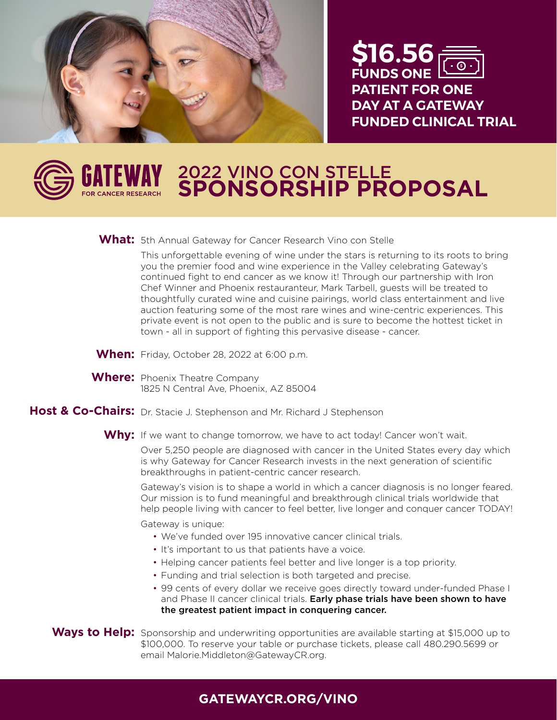

**\$16.56 FUNDS ONE PATIENT FOR ONE DAY AT A GATEWAY FUNDED CLINICAL TRIAL** 

## **Property SPANNER REPORTED** 2022 VINO CON STELLE **SPONSORSHIP PROPOSAL**

# **What:** 5th Annual Gateway for Cancer Research Vino con Stelle

This unforgettable evening of wine under the stars is returning to its roots to bring This amorgetiable evening of whic ander the stars is retaining to its roots to bring<br>you the premier food and wine experience in the Valley celebrating Gateway's you the premier food and wine experience in the Valley celebrating Gateway's<br>continued fight to end cancer as we know it! Through our partnership with Iron continued right to end cancer as we know it! Through our partnership with iron<br>Chef Winner and Phoenix restauranteur, Mark Tarbell, guests will be treated to thoughtfully curated wine and cuisine pairings, world class entertainment and live thoughtfully curated wine and cuisine pairings, world class entertainment and live<br>auction featuring some of the most rare wines and wine-centric experiences. This private event is not open to the public and is sure to become the hottest ticket in<br>town - all in support of fighting this pervasive disease - cancer town - all in support of fighting this pervasive disease - cancer.

- **When:** Friday, October 28, 2022 at 6:00 p.m.
- **Where:** Phoenix Theatre Company 1825 N Central Ave, Phoenix, AZ 85004

#### Host & Co-Chairs: Dr. Stacie J. Stephenson and Mr. Richard J Stephenson

**Why:** If we want to change tomorrow, we have to act today! Cancer won't wait.

Over 5,250 people are diagnosed with cancer in the United States every day which is why Gateway for Cancer Research invests in the next generation of scientific breakthroughs in patient-centric cancer research.

Gateway's vision is to shape a world in which a cancer diagnosis is no longer feared. Our mission is to fund meaningful and breakthrough clinical trials worldwide that help people living with cancer to feel better, live longer and conquer cancer TODAY!

Gateway is unique:

- We've funded over 195 innovative cancer clinical trials.
- It's important to us that patients have a voice.
- Helping cancer patients feel better and live longer is a top priority.
- Funding and trial selection is both targeted and precise.
- 99 cents of every dollar we receive goes directly toward under-funded Phase I and Phase II cancer clinical trials. Early phase trials have been shown to have the greatest patient impact in conquering cancer.

Ways to Help: Sponsorship and underwriting opportunities are available starting at \$15,000 up to \$100,000. To reserve your table or purchase tickets, please call 480.290.5699 or email Malorie.Middleton@GatewayCR.org.

### **GATEWAYCR.ORG/VINO**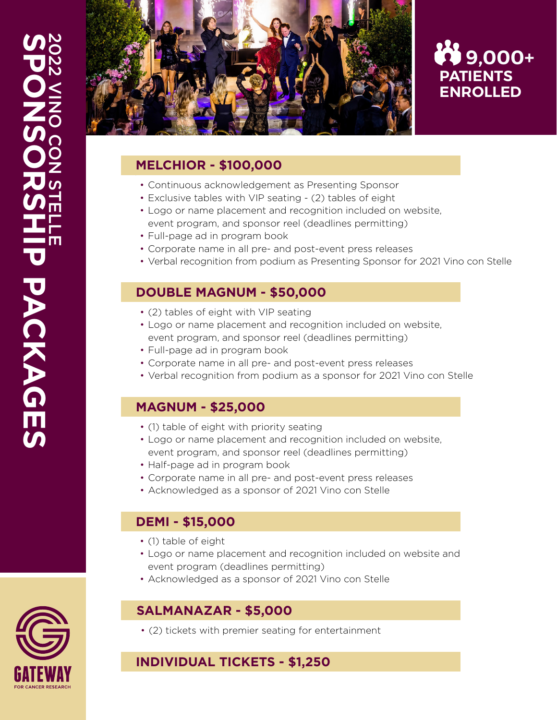

# **PATIENTS ENROLLED**  $\bullet$  9,000+

#### **MELCHIOR - \$100,000**

- Continuous acknowledgement as Presenting Sponsor
- Exclusive tables with VIP seating (2) tables of eight
- Logo or name placement and recognition included on website, event program, and sponsor reel (deadlines permitting)
- Full-page ad in program book
- Corporate name in all pre- and post-event press releases
- Verbal recognition from podium as Presenting Sponsor for 2021 Vino con Stelle

#### **DOUBLE MAGNUM - \$50,000**

- (2) tables of eight with VIP seating
- Logo or name placement and recognition included on website, event program, and sponsor reel (deadlines permitting)
- Full-page ad in program book
- Corporate name in all pre- and post-event press releases
- Verbal recognition from podium as a sponsor for 2021 Vino con Stelle

### **MAGNUM - \$25,000**

- (1) table of eight with priority seating
- Logo or name placement and recognition included on website, event program, and sponsor reel (deadlines permitting)
- Half-page ad in program book
- Corporate name in all pre- and post-event press releases
- Acknowledged as a sponsor of 2021 Vino con Stelle

### **DEMI - \$15,000**

- (1) table of eight
- Logo or name placement and recognition included on website and event program (deadlines permitting)
- Acknowledged as a sponsor of 2021 Vino con Stelle

### **SALMANAZAR - \$5,000**

• (2) tickets with premier seating for entertainment

## **INDIVIDUAL TICKETS - \$1,250**